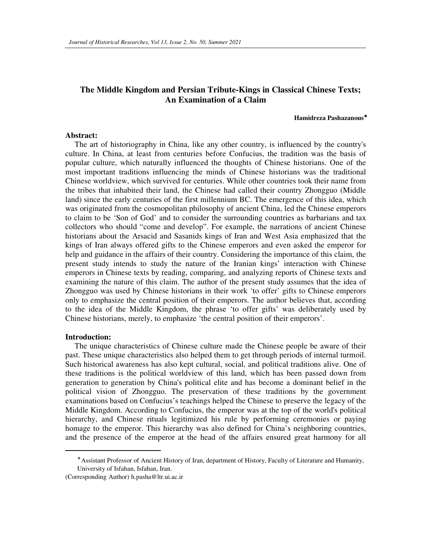### **The Middle Kingdom and Persian Tribute-Kings in Classical Chinese Texts; An Examination of a Claim**

#### **Hamidreza Pashazanous**<sup>∗</sup>

#### **Abstract:**

The art of historiography in China, like any other country, is influenced by the country's culture. In China, at least from centuries before Confucius, the tradition was the basis of popular culture, which naturally influenced the thoughts of Chinese historians. One of the most important traditions influencing the minds of Chinese historians was the traditional Chinese worldview, which survived for centuries. While other countries took their name from the tribes that inhabited their land, the Chinese had called their country Zhongguo (Middle land) since the early centuries of the first millennium BC. The emergence of this idea, which was originated from the cosmopolitan philosophy of ancient China, led the Chinese emperors to claim to be 'Son of God' and to consider the surrounding countries as barbarians and tax collectors who should "come and develop". For example, the narrations of ancient Chinese historians about the Arsacid and Sasanids kings of Iran and West Asia emphasized that the kings of Iran always offered gifts to the Chinese emperors and even asked the emperor for help and guidance in the affairs of their country. Considering the importance of this claim, the present study intends to study the nature of the Iranian kings' interaction with Chinese emperors in Chinese texts by reading, comparing, and analyzing reports of Chinese texts and examining the nature of this claim. The author of the present study assumes that the idea of Zhongguo was used by Chinese historians in their work 'to offer' gifts to Chinese emperors only to emphasize the central position of their emperors. The author believes that, according to the idea of the Middle Kingdom, the phrase 'to offer gifts' was deliberately used by Chinese historians, merely, to emphasize 'the central position of their emperors'.

#### **Introduction:**

 $\overline{a}$ 

The unique characteristics of Chinese culture made the Chinese people be aware of their past. These unique characteristics also helped them to get through periods of internal turmoil. Such historical awareness has also kept cultural, social, and political traditions alive. One of these traditions is the political worldview of this land, which has been passed down from generation to generation by China's political elite and has become a dominant belief in the political vision of Zhongguo. The preservation of these traditions by the government examinations based on Confucius's teachings helped the Chinese to preserve the legacy of the Middle Kingdom. According to Confucius, the emperor was at the top of the world's political hierarchy, and Chinese rituals legitimized his rule by performing ceremonies or paying homage to the emperor. This hierarchy was also defined for China's neighboring countries, and the presence of the emperor at the head of the affairs ensured great harmony for all

<sup>∗</sup> Assistant Professor of Ancient History of Iran, department of History, Faculty of Literature and Humanity, University of Isfahan, Isfahan, Iran.

<sup>(</sup>Corresponding Author) h.pasha@ltr.ui.ac.ir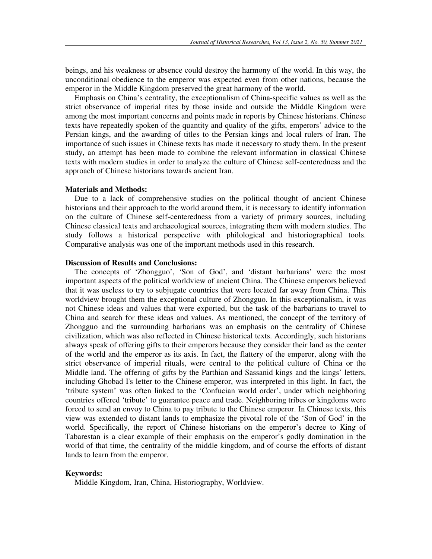beings, and his weakness or absence could destroy the harmony of the world. In this way, the unconditional obedience to the emperor was expected even from other nations, because the emperor in the Middle Kingdom preserved the great harmony of the world.

Emphasis on China's centrality, the exceptionalism of China-specific values as well as the strict observance of imperial rites by those inside and outside the Middle Kingdom were among the most important concerns and points made in reports by Chinese historians. Chinese texts have repeatedly spoken of the quantity and quality of the gifts, emperors' advice to the Persian kings, and the awarding of titles to the Persian kings and local rulers of Iran. The importance of such issues in Chinese texts has made it necessary to study them. In the present study, an attempt has been made to combine the relevant information in classical Chinese texts with modern studies in order to analyze the culture of Chinese self-centeredness and the approach of Chinese historians towards ancient Iran.

#### **Materials and Methods:**

Due to a lack of comprehensive studies on the political thought of ancient Chinese historians and their approach to the world around them, it is necessary to identify information on the culture of Chinese self-centeredness from a variety of primary sources, including Chinese classical texts and archaeological sources, integrating them with modern studies. The study follows a historical perspective with philological and historiographical tools. Comparative analysis was one of the important methods used in this research.

#### **Discussion of Results and Conclusions:**

The concepts of 'Zhongguo', 'Son of God', and 'distant barbarians' were the most important aspects of the political worldview of ancient China. The Chinese emperors believed that it was useless to try to subjugate countries that were located far away from China. This worldview brought them the exceptional culture of Zhongguo. In this exceptionalism, it was not Chinese ideas and values that were exported, but the task of the barbarians to travel to China and search for these ideas and values. As mentioned, the concept of the territory of Zhongguo and the surrounding barbarians was an emphasis on the centrality of Chinese civilization, which was also reflected in Chinese historical texts. Accordingly, such historians always speak of offering gifts to their emperors because they consider their land as the center of the world and the emperor as its axis. In fact, the flattery of the emperor, along with the strict observance of imperial rituals, were central to the political culture of China or the Middle land. The offering of gifts by the Parthian and Sassanid kings and the kings' letters, including Ghobad I's letter to the Chinese emperor, was interpreted in this light. In fact, the 'tribute system' was often linked to the 'Confucian world order', under which neighboring countries offered 'tribute' to guarantee peace and trade. Neighboring tribes or kingdoms were forced to send an envoy to China to pay tribute to the Chinese emperor. In Chinese texts, this view was extended to distant lands to emphasize the pivotal role of the 'Son of God' in the world. Specifically, the report of Chinese historians on the emperor's decree to King of Tabarestan is a clear example of their emphasis on the emperor's godly domination in the world of that time, the centrality of the middle kingdom, and of course the efforts of distant lands to learn from the emperor.

#### **Keywords:**

Middle Kingdom, Iran, China, Historiography, Worldview.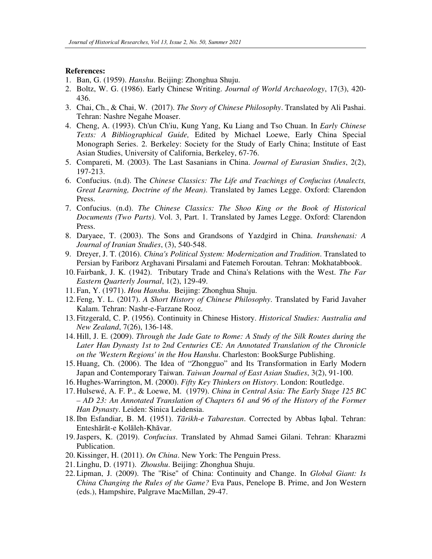#### **References:**

- 1. Ban, G. (1959). *Hanshu*. Beijing: Zhonghua Shuju.
- 2. Boltz, W. G. (1986). Early Chinese Writing. *Journal of World Archaeology*, 17(3), 420- 436.
- 3. Chai, Ch., & Chai, W. (2017). *The Story of Chinese Philosophy*. Translated by Ali Pashai. Tehran: Nashre Negahe Moaser.
- 4. Cheng, A. (1993). Ch'un Ch'iu, Kung Yang, Ku Liang and Tso Chuan. In *Early Chinese Texts: A Bibliographical Guide,* Edited by Michael Loewe, Early China Special Monograph Series. 2. Berkeley: Society for the Study of Early China; Institute of East Asian Studies, University of California, Berkeley, 67-76.
- 5. Compareti, M. (2003). The Last Sasanians in China. *Journal of Eurasian Studies*, 2(2), 197-213.
- 6. Confucius. (n.d). The *Chinese Classics: The Life and Teachings of Confucius (Analects, Great Learning, Doctrine of the Mean)*. Translated by James Legge. Oxford: Clarendon Press.
- 7. Confucius. (n.d). *The Chinese Classics: The Shoo King or the Book of Historical Documents (Two Parts)*. Vol. 3, Part. 1. Translated by James Legge. Oxford: Clarendon Press.
- 8. Daryaee, T. (2003). The Sons and Grandsons of Yazdgird in China. *Iranshenasi: A Journal of Iranian Studies*, (3), 540-548.
- 9. Dreyer, J. T. (2016). *China's Political System: Modernization and Tradition*. Translated to Persian by Fariborz Arghavani Pirsalami and Fatemeh Foroutan. Tehran: Mokhatabbook.
- 10. Fairbank, J. K. (1942). Tributary Trade and China's Relations with the West. *The Far Eastern Quarterly Journal*, 1(2), 129-49.
- 11. Fan, Y. (1971). *Hou Hanshu*. Beijing: Zhonghua Shuju.
- 12. Feng, Y. L. (2017). *A Short History of Chinese Philosophy*. Translated by Farid Javaher Kalam. Tehran: Nashr-e-Farzane Rooz.
- 13. Fitzgerald, C. P. (1956). Continuity in Chinese History. *Historical Studies: Australia and New Zealand*, 7(26), 136-148.
- 14. Hill, J. E. (2009). *Through the Jade Gate to Rome: A Study of the Silk Routes during the Later Han Dynasty 1st to 2nd Centuries CE: An Annotated Translation of the Chronicle on the 'Western Regions' in the Hou Hanshu*. Charleston: BookSurge Publishing.
- 15. Huang, Ch. (2006). The Idea of "Zhongguo" and Its Transformation in Early Modern Japan and Contemporary Taiwan. *Taiwan Journal of East Asian Studies*, 3(2), 91-100.
- 16. Hughes-Warrington, M. (2000). *Fifty Key Thinkers on History*. London: Routledge.
- 17. Hulsewé, A. F. P., & Loewe, M. (1979). *China in Central Asia: The Early Stage 125 BC – AD 23: An Annotated Translation of Chapters 61 and 96 of the History of the Former Han Dynasty*. Leiden: Sinica Leidensia.
- 18.Ibn Esfandiar, B. M. (1951). *Tārikh-e Tabarestan*. Corrected by Abbas Iqbal. Tehran: Enteshārāt-e Kolāleh-Khāvar.
- 19.Jaspers, K. (2019). *Confucius*. Translated by Ahmad Samei Gilani. Tehran: Kharazmi Publication.
- 20. Kissinger, H. (2011). *On China*. New York: The Penguin Press.
- 21. Linghu, D. (1971). *Zhoushu*. Beijing: Zhonghua Shuju.
- 22. Lipman, J. (2009). The ''Rise'' of China: Continuity and Change. In *Global Giant: Is China Changing the Rules of the Game?* Eva Paus, Penelope B. Prime, and Jon Western (eds.), Hampshire, Palgrave MacMillan, 29-47.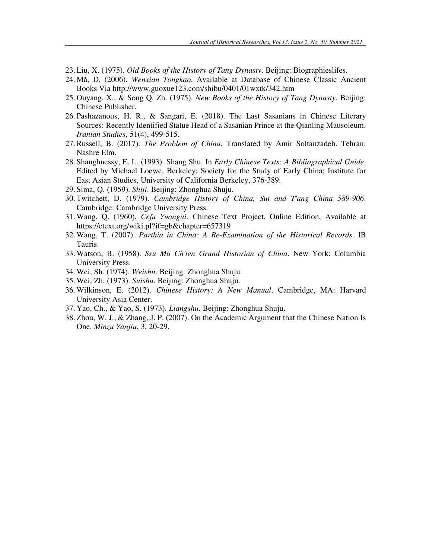- 23. Liu, X. (1975). *Old Books of the History of Tang Dynasty*. Beijing: Biographieslifes.
- 24. Mă, D. (2006). *Wenxian Tongkao*. Available at Database of Chinese Classic Ancient Books Via http://www.guoxue123.com/shibu/0401/01wxtk/342.htm
- 25. Ouyang, X., & Song Q. Zh. (1975). *New Books of the History of Tang Dynasty*. Beijing: Chinese Publisher.
- 26. Pashazanous, H. R., & Sangari, E. (2018). The Last Sasanians in Chinese Literary Sources: Recently Identified Statue Head of a Sasanian Prince at the Qianling Mausoleum. *Iranian Studies*, 51(4), 499-515.
- 27.Russell, B. (2017). *The Problem of China*. Translated by Amir Soltanzadeh. Tehran: Nashre Elm.
- 28. Shaughnessy, E. L. (1993). Shang Shu. In *Early Chinese Texts: A Bibliographical Guide*. Edited by Michael Loewe, Berkeley: Society for the Study of Early China; Institute for East Asian Studies, University of California Berkeley, 376-389.
- 29. Sima, Q. (1959). *Shiji*. Beijing: Zhonghua Shuju.
- 30. Twitchett, D. (1979). *Cambridge History of China, Sui and T'ang China 589-906*. Cambridge: Cambridge University Press.
- 31. Wang, Q. (1960). *Cefu Yuangui*. Chinese Text Project, Online Edition, Available at https://ctext.org/wiki.pl?if=gb&chapter=657319
- 32. Wang, T. (2007). *Parthia in China: A Re-Examination of the Historical Records*. IB Tauris.
- 33. Watson, B. (1958). *Ssu Ma Ch'ien Grand Historian of China*. New York: Columbia University Press.
- 34. Wei, Sh. (1974). *Weishu*. Beijing: Zhonghua Shuju.
- 35. Wei, Zh. (1973). *Suishu*. Beijing: Zhonghua Shuju.
- 36. Wilkinson, E. (2012). *Chinese History: A New Manual*. Cambridge, MA: Harvard University Asia Center.
- 37. Yao, Ch., & Yao, S. (1973). *Liangshu*. Beijing: Zhonghua Shuju.
- 38. Zhou, W. J., & Zhang, J. P. (2007). On the Academic Argument that the Chinese Nation Is One. *Minzu Yanjiu*, 3, 20-29.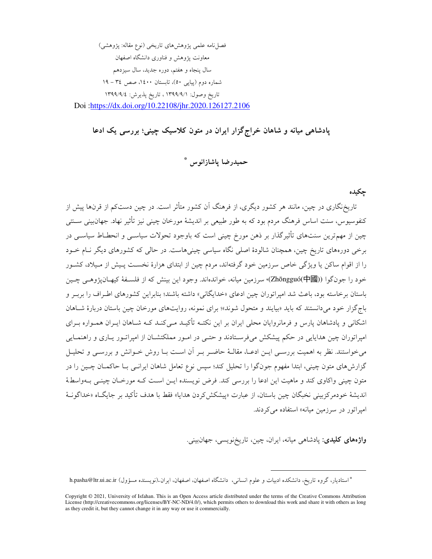فصل نامه علمي يژوهش هاي تاريخي (نوع مقاله: پژوهشي) معاونت یژوهش و فناوری دانشگاه اصفهان سال پنجاه و هفتم، دوره جدید، سال سیزدهم شماره دوم (پیاپی ٥٠)، تابستان ١٤٠٠، صص ٣٤ - ١٩ تاريخ وصول: ١٣٩٩/٩/١، تاريخ يذيرش: ١٣٩٩/٩/٤ Doi:https://dx.doi.org/10.22108/jhr.2020.126127.2106

# پادشاهی میانه و شاهان خراج گزار ایران در متون کلاسیک چینی؛ بررسی یک ادعا

حميدرضا ياشازانوس \*

حكىدە

تاریخنگاری در چین، مانند هر کشور دیگری، از فرهنگ آن کشور متأثر است. در چین دستکم از قرنها پیش از کنفوسیوس، سنت اساس فرهنگ مردم بود که به طور طبیعی بر اندیشهٔ مورخان چینی نیز تأثیر نهاد. جهانبینی سـنتی چین از مهمترین سنتهای تأثیرگذار بر ذهن مورخ چینی است که باوجود تحولات سیاسـی و انحطـاط سیاسـی در برخی دورههای تاریخ چین، همچنان شالودهٔ اصلی نگاه سیاسی چینیهاست. در حالی که کشورهای دیگر نـام خــود را از اقوام ساکن یا ویژگی خاص سرزمین خود گرفتهاند، مردم چین از ابتدای هزارهٔ نخسـت پـیش از مـیلاد، کشـور خود را جونگوا ((Zhōngguó(中國)، سرزمین میانه، خواندهاند. وجود این بینش که از فلسـفهٔ کیهـان،یژوهـی چـین باستان برخاسته بود، باعث شد امیراتوران چین ادعای «خدایگانی» داشته باشند؛ بنابراین کشورهای اطراف را بربـر و باج گزار خود می دانستند که باید «بیایند و متحول شوند»؛ برای نمونه، روایتهای مورخان چین باستان دربارهٔ شباهان اشکانی و پادشاهان پارس و فرمانروایان محلی ایران بر این نکتـه تأکیـد مـی کنـد کـه شـاهان ایـران همـواره بـرای امپراتوران چین هدایایی در حکم پیشکش میفرستادند و حتـی در امـور مملکتشـان از امپراتـور یـاری و راهنمـایی می خواستند. نظر به اهمیت بررسـی ایـن ادعـا، مقالـهٔ حاضـر بـر آن اسـت بـا روش خـوانش و بررسـی و تحليـل گزارش۵ای متون چینی، ابتدا مفهوم جونگوا را تحلیل کند؛ سیس نوع تعامل شاهان ایرانــی بــا حاکمــان چــین را در متون چینی واکاوی کند و ماهیت این ادعا را بررسی کند. فرض نویسنده ایـن اسـت کـه مورخـان چینـی بـهواسطهٔ انديشهٔ خودمركزبيني نخبگان چين باستان، از عبارت «پيشكش كردن هدايا» فقط با هدف تأكيد بر جايگــاه «خداگونــهٔ امیراتور در سرزمین میانه» استفاده م*ی ک*ردند.

**واژەهای کلیدی**: پادشاهی میانه، ایران، چین، تاریخنویسی، جهانبینی.

<sup>\*</sup> استادیار، گروه تاریخ، دانشکده ادبیات و علوم انسانی، دانشگاه اصفهان، اصفهان، ایران (نویسنده مسؤول) h.pasha@ltr.ui.ac.ir

Copyright © 2021, University of Isfahan. This is an Open Access article distributed under the terms of the Creative Commons Attribution<br>License (http://creativecommons.org/licenses/BY-NC-ND/4.0/), which permits others to d as they credit it, but they cannot change it in any way or use it commercially.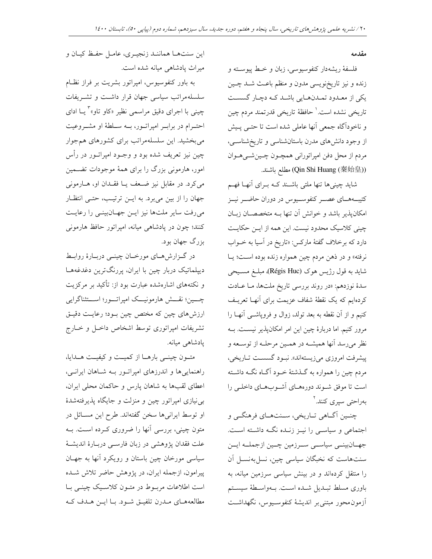#### مقدمه

فلسفهٔ ریشهدار کنفوسیوسی، زبان و خـط پیوسـته و زنده و نيز تاريخنويسي مدون و منظم باعث شـد چـين یکی از معـدود تمـدنهـایی باشـد کـه دچـار گسسـت تاريخي نشده است.' حافظهٔ تاريخي قدرتمند مردم چين و ناخودآگاه جمعی أنها عاملی شده است تا حتـبی پـیش از وجود دانشهای مدرن باستانشناسی و تاریخشناسـی، مردم از محل دفن امپراتورانی همچـون چـینشــیهــوان (Qin Shi Huang (秦始皇)) مطلع باشند.

شاید چینیها تنها ملتی باشـند کـه بـرای آنهـا فهـم کتیبههــای عصــر کنفوســیوس در دوران حاضــر نیــز امکان یذیر باشد و خوانش آن تنها بـه متخصصـان زبـان چینی کلاسیک محدود نیست. این همه از ایـن حکایـت دارد که برخلاف گفتهٔ مارکس: «تاریخ در آسیا به خــواب نرفته» و در ذهن مردم چین همواره زنده بوده است؛ یـا شاید به قول رژیس هوک (Régis Huc)ه مبلـغ مسـیحی سدهٔ نوزدهم: «در روند بررسی تاریخ ملتها، مـا عــادت کردهایم که یک نقطهٔ شفاف عزیمت برای آنهـا تعریـف کنیم و از آن نقطه به بعد تولد، زوال و فروپاشـی آنهـا را مرور کنیم. اما دربارهٔ چین این امر امکانپذیر نیست. بــه نظر میرسد آنها همیشـه در همـین مرحلـه از توسـعه و پیشرفت امروزی میزیستهاند». نبـود گسسـت تـاریخی، مردم چین را همواره به گـذشتهٔ خــود آگــاه نگــه داشــته است تا موفق شـوند دورههـاي آشـوبهـاي داخلـي را بەراحتى سىرى كنند.<sup>٢</sup>

چنــين اَگــاهي تــاريخي، ســنتهــاي فرهنگــي و اجتماعی و سیاسی را نیـز زنـده نگـه داشـته اسـت. جهـانبينــي سياســي ســرزمين چــين ازجملــه ايــن سنت هاست که نخبگان سیاسی چین، نسلبهنسـل آن را منتقل کردهاند و در بینش سیاسی سرزمین میانه، به باوري مسلط تبـديل شـده اسـت. بـهواسـطهٔ سيسـتم أزمون محور مبتنى بر انديشهٔ كنفوسـيوس، نگهداشـت

اين سنتهـا هماننـد زنجيـري، عامـل حفـظ كيـان و میراث یادشاهی میانه شده است.

به باور کنفوسیوس، امپراتور بشریت بر فراز نظام سلسلهمراتب سیاسی جهان قرار داشت و تشـریفات چینی با اجرای دقیق مراسمی نظیر «کاو تاو»<sup>۳</sup> یــا ادای احتــرام در برابــر امپراتــور، بــه ســلطهٔ او مشــروعيت میبخشید. این سلسلهمراتب برای کشورهای همجوار چين نيز تعريف شده بود و وجــود امپراتــور در رأس امور، هارمونی بزرگ را برای همهٔ موجودات تضمین می کرد. در مقابل نیز ضعف یـا فقـدان او، هـارمونی جهان را از بین میبرد. به ایـن ترتیـب، حتـی انتظـار میرفت سایر ملتها نیز ایـن جهـانبینـی را رعایـت کنند؛ چون در پادشاهی میانه، امپراتور حافظ هارمونی بزرگ جهان بود.

در گزارش های مورخان چینـی دربـارهٔ روابـط دیپلماتیک دربار چین با ایران، پررنگترین دغدغههـا و نکتههای اشارهشده عبارت بود از: تأکید بر مرکزیت چـــين؛ نقـــش هارمونيـــک امپراتـــور؛ اســـتثناگرايي ارزشهای چین که مختص چین بود؛ رعایت دقیـق تشریفات امپراتوری توسط اشخاص داخـل و خـارج يادشاهي ميانه.

متون چینبی بارهـا از کمیـت و کیفیـت هـدایا، راهنماییها و اندرزهای امپراتور بـه شـاهان ایرانـی، اعطای لقبها به شاهان پارس و حاکمان محلی ایران، بی نیازی امیراتور چین و منزلت و جایگاه پذیرفتهشدهٔ او توسط ایرانیها سخن گفتهاند. طرح این مسـائل در متون چینی، بررسی آنها را ضروری کـرده اسـت. بــه علت فقدان پژوهشی در زبان فارسـی دربـارهٔ اندیشـهٔ سیاسی مورخان چین باستان و رویکرد آنها به جهـان پیرامون، ازجمله ایران، در پژوهش حاضر تلاش شـده است اطلاعات مربوط در متـون كلاسـيك چينـي بـا مطالعههـاي مـدرن تلفيــق شــود. بــا ايــن هــدف كــه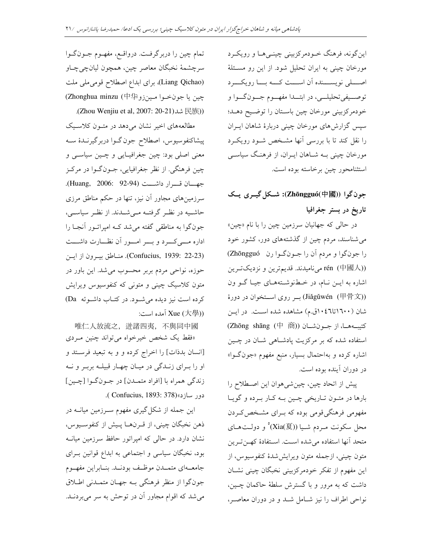اين گونه، فرهنگ خــودمرکزبيني چينــي هــا و رويکــرد مورخان چینی به ایران تحلیل شود. از این رو مســئلهٔ اصـــــلى نويســـــنده ان اســــت كـــــه بـــــا رويكـــــرد توصــيفي¤حليلــي، در ابتـــدا مفهـــوم جـــونگـــوا و خودمرکزبینی مورخان چین باســتان را توضــیح دهــد؛ سپس گزارش،ای مورخان چینی دربارهٔ شاهان ایــران را نقل کند تا با بررسی آنها مشخص شـود رویکـرد مورخان چینی بــه شــاهان ایــران، از فرهنــگ سیاســی استثنامحور چين برخاسته بوده است.

# **1 +1 0)1 :(Zhōngguó(**中國**)) /**  تاريخ در بستر جغرافيا

در حالی که جهانیان سرزمین چین را با نام «چین» می شناسند، مردم چین از گذشتههای دور، کشور خود را جونگوا و مردم آن را جـونگـوا رن Zhōngguó) rén (中國人)) می نامیدند. قدیمترین و نزدیکترین اشاره به ایــن نــام، در خــطنوشــتههــای جیــا گــو ون (Jiǎgǔwén (甲骨文) بر روى اســتخوان در دورهٔ شان (۱٦۰۰تا٤٦٠١ق.م) مشاهده شده اســت. در ايــن (Zhōng shāng (<sup>中</sup> <sup>商</sup>)) 5E 54 5,5\* استفاده شده که بر مرکزیت پادشـاهی شــان در چــین اشاره کرده و بهاحتمال بسیار، منبع مفهوم «جونگـوا» در دوران اینده بوده است.

پیش از اتحاد چین، چینشیهوان این اصـطلاح را بارها در متـون تـاريخي چـين بــه كــار بــرده و گويــا مفهومی فرهنگیقومی بوده که بــرای مشــخص2ــردن محل سکونت مـردم شـيا ((Xia(夏)° و دولــتھــاى متحد آنها استفاده می شده است. استفادهٔ که نترین متون چینی، ازجمله متون ویرایششدهٔ کنفوسیوس، از این مفهوم از تفکر خودمرکزبینی نخبگان چینی نشــان داشت که به مرور و با گسترش سلطهٔ حاکمان چــین، نواحی اطراف را نیز شــامل شــد و در دوران معاصــر،

تمام چین را دربرگرفت. درواقـع، مفهـوم جـونگـوا سرچشمهٔ نخبگان معاصر چین، همچون لیانچیچاو (Liang Qichao)، برای ابداع اصطلاح قومی ملی ملت چين يا جونخـوا مـينزو中华 (Thonghua minzu .(Zhou Wenjiu et al, 2007: 20-21)شد (E族))

مطالعههای اخیر نشان میدهد در متــون کلاســیک پیشاکنفوسیوس، اصطلاح جون گــوا دربرگیرنــدۀ ســه معنی اصلی بود: چین جغرافیـایی و چـین سیاسـی و چین فرهنگی. از نظر جغرافیایی، جــونگــوا در مرکــز جهـــان قـــرار داشـــت (Huang, 2006: 92-94). سرزمینهای مجاور ان نیز، تنها در حکم مناطق مرزی حاشـيه در نظـر گرفتــه مــىشــدند. از نظــر سياســى، جونگوا به مناطقی گفته میشد کــه امپراتــور انجــا را اداره مــــیکـــــرد و بــــــر امــــــور ان نظـــــارت داشـــــت (Confucius, 1939: 22-23). منـاطق بيـرون از ايـن حوزه، نواحی مردم بربر محسوب میشد. این باور در متون کلاسیک چینی و متونی که کنفوسیوس ویرایش كرده است نيز ديده مي شود. در كتـاب داشـوئه Da) : آمده است: Xue (大學))

唯仁人放流之,迸諸四夷,不與同中國 «فقط یک شخص خیرخواه می تواند چنین مـردی [انسان بدذات] را اخراج کرده و و به تبعید فرســتد و او را بــراي زنــدگي در ميــان چهــار قبيلــه بربــر و نــه زندگي همراه با [افراد متمـدن] در جــونگــوا [چــين] .( Confucius, 1893: 378)« <

این جمله از شکل *گیری مفهو*م سـرزمین میانــه در ذهن نخبگان چيني، از قــرنهــا پــيش از كنفوســيوس، نشان دارد. در حالی که امپراتور حافظ سرزمین میانــه بود، نخبگان سیاسی و اجتماعی به ابداع قوانین بــرای جامعــهاى متمــدن موظــف بودنــد. بنــابراين مفهــوم جون گوا از منظر فرهنگی بــه جهــان متمــدنی اطــلاق میشد که اقوام مجاور ان در توحش به سر میبردنــد.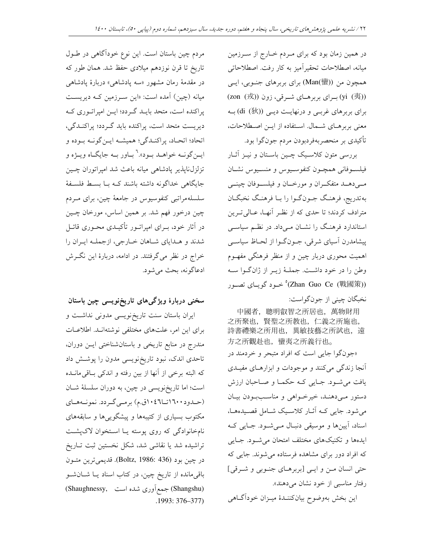در همین زمان بود که برای مـردم خـارج از سـرزمین میانه، اصطلاحات تحقیراًمیز به کار رفت. اصطلاحاتی همچون من ((Man(蠻) برای بربرهای جنـوبی، ایــی (yi (夷)) برای بربرهای شرقی، زون (zon (戎) برای بربرهای غربے و درنهایت دیے ((di (狄))به معنى بربرهـاى شـمال. اسـتفاده از ايـن اصـطلاحات، تأكيدي بر منحصربهفردبودن مردم جونگوا بود.

بررسی متون کلاسیک چـین باسـتان و نیـز آثـار فيلسوفاني همچون كنفوسيوس و منسيوس نشان مــیدهــد متفکــران و مورخــان و فیلســوفان چینـــی بهتدريج، فرهنگ جـون گـوا را بـا فرهنـگ نخبگـان مترادف کردند؛ تا حدی که از نظـر آنهـا، عـالیتـرین استاندارد فرهنگ را نشـان مـیداد. در نظـم سیاسـی پیشامدرن آسیای شرقی، جـونگـوا از لحـاظ سیاسـی اهمیت محوری دربار چین و از منظر فرهنگی مفهـوم وطن را در خود داشت. جملـهٔ زیـر از ژانگـوا سـه (Zhan Guo Ce (戰國策)° خرود گویای تصور نخبگان چيني از جونگواست:

中國者, 聰明叡智之所居也, 萬物財用 之所聚也, 賢聖之所教也, 仁義之所施也, 詩書禮樂之所用也, 異敏技藝之所試也, 遠 方之所觀赴也, 蠻夷之所義行也。 «جونگوا جایی است که افراد متبحر و خردمند در آنجا زندگی میکنند و موجودات و ابزارهـای مفیـدی یافت می شود. جبایی کـه حکمـا و صـاحبان ارزش دستور مےدهنـد، خیرخـواهی و مناسـببودن بیـان می شود. جایی کـه آثـار کلاسـیک شـامل قصـیدههـا، اسناد، آیینها و موسیقی دنبـال مـیشـود. جـایی کـه ایدهها و تکنیکهای مختلف امتحان میشود. جبایی که افراد دور برای مشاهده فرستاده می شوند. جایی که حتی انسان من و ایلی [بربرهای جنوبی و شرقی] رفتار مناسبی از خود نشان میدهند».

اين بخش بهوضوح بيانكننـدۀ ميــزان خوداًگــاهي

مردم چین باستان است. این نوع خودآگاهی در طـول تاریخ تا قرن نوزدهم میلادی حفظ شد. همان طور که در مقدمهٔ رمان مشهور «سه پادشاهی» دربارهٔ پادشاهی میانه (چین) آمده است: «این سـرزمین کــه دیریســت پراکنده است، متحد بایـد گـردد؛ ایــن امیراتـوری کـه دیریست متحد است، پراکنده باید گـردد؛ پراکنـدگی، اتحاد؛ اتحـاد، پراکنـدگي؛ هميشـه ايـنگونـه بـوده و ايــنگونــه خواهــد بــود».<sup>٦</sup> بــاور بــه جايگــاه ويــژه و تزلزل ناپذیر پادشاهی میانه باعث شد امپراتوران چــین جایگاهی خداگونه داشته باشند کـه بـا بسـط فلسـفهٔ سلسلهمراتبی کنفوسیوس در جامعهٔ چین، برای مــردم چین درخور فهم شد. بر همین اساس، مورخان چــین در آثار خود، بــرای امپراتــور تأکیــدی محــوری قائــل شدند و هـداياي شـاهان خـارجي، ازجملـه ايـران را خراج در نظر میگرفتند. در ادامه، دربارهٔ این نگرش ادعاگونه، بحث مي شود.

## سخنی دربارهٔ ویژگیهای تاریخنویسی چین باستان

ایران باستان سنت تاریخ نویسی مدونی نداشت و برای این امر، علتهای مختلفی نوشتهانـد. اطلاعـات مندرج در منابع تاریخی و باستانشناختی ایـن دوران، تاحدی اندک، نبود تاریخ نویسی مدون را پوشش داد كه البته برخي از آنها از بين رفته و اندكي بـاقي مانــده است؛ اما تاریخنویسی در چین، به دوران سلسلهٔ شـان (حـدود ۱٦۰۰تــا۱۰۲ق.م) برمـي گـردد. نمونـههـاي مکتوب بسیاری از کتیبهها و پیشگوییها و سابقههای نامخانوادگی که روی پوسته یا استخوان لاکپشت تراشیده شد یا نقاشی شد، شکل نخستین ثبت تـاریخ در چين بود (Boltz, 1986: 436). قديميترين متون باقی مانده از تاریخ چین، در کتاب اسناد یــا شــانشــو (Shangshu) جمع آوری شده است ,Shaughnessy)  $.1993:376-377$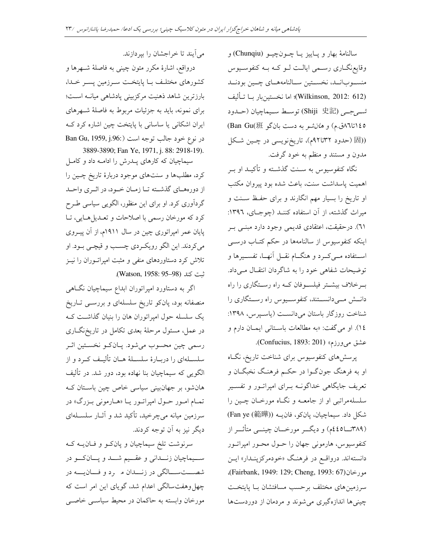سالنامهٔ بهار و پـاييز يـا چــونچيــو (Chunqiu) و وقايع نگــاري رســمي ايالــت لــو كــه بــه كنفوسـيوس منسوبانـد، نخسـتين سـالنامههـاي چـين بودنـد (Wilkinson, 2012: 612)؛ اما نخستينبار بــا تــأليف شريرجر (Shiji 史記) توسط سـيماچيان (حــدود 1٤٥تا ٨٦تا م) و ه*ان شو* به دست بان گو Ban Gu(班) ((固 (حدود ٣٢تا٩٢م)، تاريخنويسي در چين شكل مدون و مستند و منظم به خود گرفت.

نگاه کنفوسیوس به سـنت گذشـته و تأکیــد او بــر اهميت پاسداشت سنت، باعث شده بود پيروان مكتب او تاریخ را بسیار مهم انگارند و برای حفظ سـنت و میراث گذشته، از آن استفاده کننـد (چوجـای، ١٣٩٦: ٦١). درحقیقت، اعتقادی قدیمی وجود دارد مبنـی بـر اینکه کنفوسیوس از سالنامهها در حکم کتـاب درسـی استفاده مــي كــرد و هنگــام نقــل آنهــا، تفســيرها و توضیحات شفاهی خود را به شاگردان انتقـال مـیداد. بـرخلاف بیشـتر فیلسـوفان کـه راه رسـتگاری را راه دانسش مــیدانســتند، کنفوســیوس راه رســتگاری را شناخت روزگار باستان میدانسـت (یاسـپرس، ۱۳۹۸: ١٤). او مي گفت: «به مطالعات باسـتاني ايمــان دارم و عشق می ورزم» (Confucius, 1893: 201).

پرسشهای کنفوسیوس برای شناخت تاریخ، نگـاه او به فرهنگ جونگـوا در حکـم فرهنـگ نخبگــان و تعریف جایگاهی خداگونــه بــرای امپراتــور و تفســیر سلسلهمراتبي او از جامعــه و نگــاه مورخــان چــين را شكل داد. سيماچيان، پانكو، فان يه (Fan ye (範曄)) (۳۸۹تــا٤٤٥م) و ديگـــر مورخـــان چينـــي متأثـــر از کنفوسیوس، هارمونی جهان را حـول محـور امپراتـور دانستهاند. درواقع در فرهنگ «خودمرکزینـدار» ایـن ، ورخان (Fairbank, 1949: 129; Cheng, 1993: 67)، سرزمینهای مختلف برحسب مسافتشان بـا پایتخـت چینی ها اندازهگیری می شوند و مردمان از دوردستها

می آیند تا خراجشان را بیر دازند.

درواقع، اشارهٔ مکرر متون چینی به فاصلهٔ شـهرها و كشورهاى مختلىف ببا پايتخىت سىرزمين پسىر خىدا، بارزترین شاهد ذهنیت مرکزبینی پادشاهی میانـه اسـت؛ برای نمونه، باید به جزئیات مربوط به فاصلهٔ شـهرهای ایران اشکانی یا ساسانی با پایتخت چین اشاره کرد ک در نوع خود جالب توجه است (Ban Gu, 1959, j.96: 3889-3890; Fan Ye, 1971, j. 88: 2918-19).

سیماچیان که کارهای پـدرش را ادامـه داد و کامـل کرد، مطلبها و سنتهای موجود دربارهٔ تاریخ چهین را از دورههـاي گذشــته تــا زمــان خــود، در اثــري واحــد گردآوری کرد. او برای این منظور، الگویی سیاسی طـرح كرد كه مورخان رسمي با اصلاحات و تعـديلهايي، تـا پایان عمر امپراتوری چین در سال ۱۹۱۱م، از آن پیـروی مي كردند. اين الگو رويكردي چسب و قيچـي بـود. او تلاش کرد دستاوردهای منفی و مثبت امیراتــوران را نیــز .(Watson, 1958: 95-98) ثبت كند

اگر به دستاورد امیراتوران ابداع سیماچیان نگاهی منصفانه بود، یانکو تاریخ سلسلهای و بررسـی تـاریخ یک سلسله حول امپراتوران هان را بنیان گذاشت ک در عمل، مسئول مرحلهٔ بعدی تکامل در تاریخنگاری رسمي چين محسوب مي شود. پـان كــو نخسـتين اثــر سلسـلهاي را دربـارهٔ سلسـلهٔ هــان تألیـف کـرد و از الگویی که سیماچیان بنا نهاده بود، دور شد. در تألیف هانشو، بر جهانبینی سیاسی خاص چین باستان ک تمـام امـور حـول اميراتـور يـا «هـارموني بـزرگ» در سرزمین میانه میچرخید، تأکید شد و آثــار سلســلهای دیگر نیز به اَن توجه کردند.

سرنوشت تلخ سیماچیان و پانکو و فـان یــه کــه ســيماچيان زنـــداني و عقـــيم شـــد و يـــانكـــو در شصـــتســـالگى در زنـــدان مــرد و فـــانيــــه در چهل وهفت سالگی اعدام شد، گویای این امر است که مورخان وابسته به حاکمان در محیط سیاسـی خاصـی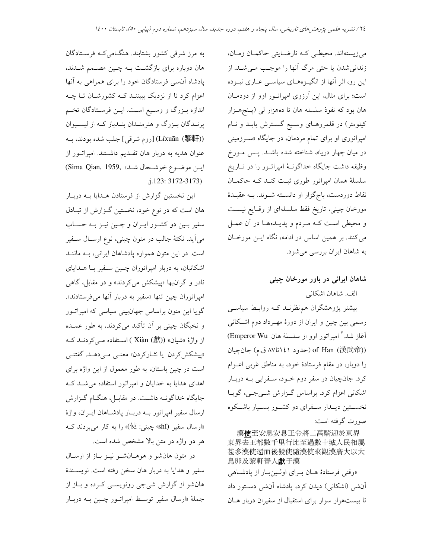مي زيستهاند. محيطـي كـه نارضـايتي حاكمـان زمـان، زندانی شدن یا حتی مرگ آنها را موجب می شـد. از این رو، اثر آنها از انگیـزههـای سیاسـی عـاری نبـوده است؛ برای مثال، این آرزوی امپراتور اوو از دودمـان هان بود که نفوذ سلسله هان تا دههزار لي (پـنجهــزار کیلومتر) در قلمروهـای وسـیع گسـترش یابـد و نـام امپراتوری او برای تمام مردمان، در جایگاه «سـرزمینی در میان چهار دریا»، شناخته شده باشـد. پـس مـورخ وظیفه داشت جایگاه خداگونـهٔ امپراتــور را در تــاریخ سلسلهٔ همان امیراتور طوری ثبت کنـد کـه حاکمـان نقاط دوردست، باجگزار او دانسته شـوند. بـه عقیـدهٔ مورخان چینی، تاریخ فقط سلسلهای از وقـایع نیسـت و محیطی است کـه مـردم و پدیـدههـا در آن عمـل میکنند. بر همین اساس در ادامه، نگاه ایــن مورخــان به شاهان ایران بررسی می شود.

### شاهان ایرانی در باور مورخان چینی

الف. شاهان اشكاني

بیشتر پژوهشگران هم نظرنــد کــه روابـط سیاســی رسمی بین چین و ایران از دورهٔ مهـرداد دوم اشـکانی آغاز شد.<sup>۷</sup> امپراتور اوو از سلسلهٔ هان Emperor Wu) of Han (漢武帝)) (حدود ۱٤١تا٨٧ ق.م) جانچيان را دوبار، در مقام فرستادهٔ خود، به مناطق غربی اعـزام كرد. جانچيان در سفر دوم خـود، سـفرايي بـه دربـار اشکانی اعزام کرد. براساس گزارش شـیجـی، گویـا نخســتين ديــدار ســفراي دو كشــور بســيار باشــكوه صورت گرفته است:

漢使至安息安息王令將二萬騎迎於東界 東界去王都數千里行比至過數十城人民相屬 甚多漢使還而後發使隨漢使來觀漢廣大以大 鳥卵及黎軒善人獻于漢 «وقتی فرستادهٔ هـان بـرای اولـینبار از پادشاهی آنشی (اشکانی) دیدن کرد، پادشاه آنشی دستور داد تا بیستهزار سوار برای استقبال از سفیران دربار هــان

به مرز شرقی کشور بشتابند. هنگامی کـه فرسـتادگان هان دوباره برای بازگشت بـه چـین مصـمم شـدند، یادشاه آنسی فرستادگان خود را برای همراهی به آنها اعزام کرد تا از نزدیک ببیننـد کـه کشورشـان تـا چـه اندازه بـزرگ و وسـيع اسـت. ايـن فرسـتادگان تخـم پرنـدگان بـزرگ و هنرمنـدان بنـدباز كـه از ليسـيوان (Líxuān (黎軒) [روم شرقى] جلب شده بودند، بـه عنوان هدیه به دربار هان تقـدیم داشــتند. امپراتــور از ايسن موضوع خوشحال شد» ,Sima Qian, 1959  $.123:3172-3173$ 

این نخستین گزارش از فرستادن هـدایا بـه دربـار هان است که در نوع خود، نخستین گـزارش از تبـادل سفیر بـین دو کشـور ایـران و چـین نیـز بـه حسـاب می آید. نکتهٔ جالب در متون چینی، نوع ارســال ســفیر است. در این متون همواره یادشاهان ایرانی، بـه ماننـد اشکانیان، به دربار امیراتوران چـین سـفیر بـا هــدایای .<br>نادر و گران.بها «پیشکش می کردند» و در مقابل، گاهی امپراتوران چین تنها «سفیر به دربار آنها می فرستادند». گویا این متون براساس جهانبینی سیاسی که امیراتـور و نخبگان چینی بر آن تأکید میکردند، به طور عمــده از واژهٔ «شیان» (Xiàn (獻) استفاده مـی کردنــد کــه «پیشکش کردن یا نشارکردن» معنـی مـی،دهــد. گفتنــی است در چین باستان، به طور معمول از این واژه برای اهدای هدایا به خدایان و امپراتور استفاده می شـد ک جایگاه خداگونــه داشــت. در مقابــل، هنگــام گــزارش ارسال سفير امپراتور بـه دربـار پادشـاهان ايـران، واژهٔ «ارسال سفیر (shǐ» چینی: 使)» را به کار می بردند ک هر دو واژه در متن بالا مشخص شده است.

در متون هانشو و هوهـانشـو نيـز بـاز از ارسـال سفير و هدايا به دربار هان سخن رفته است. نويسـندهٔ هانشو از گزارش شی جی رونویسمی کـرده و بـاز از جملهٔ «ارسال سفیر توسـط امپراتـور چــین بــه دربــار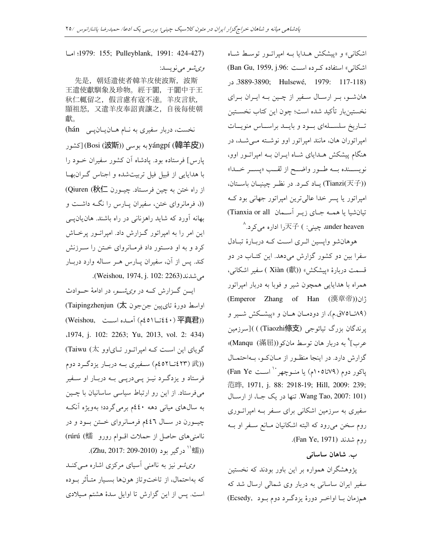اشکانی» و «پیشکش هـدایا بـه امیراتـور توسـط شـاه  $(Ban Gu, 1959, j.96:$ اشکانی» استفاده کرده است .3889-3890; Hulsewé, 1979: 117-118) هانشـو، بـر ارسـال سـفير از چـين بـه ايـران بـراي نخستینبار تاکید شده است؛ چون این کتاب نخسـتین تــاريخ سلســـلهاي بـــود و بايـــد براســـاس منويـــات امپراتوران هان، مانند امپراتور اوو نوشــته مــیشــد، در هنگام پیشکش هــدایای شــاه ایــران بــه امپراتــور اوو، نويســنده بـــه طــور واضـــح از لقـــب «پســـر خـــدا» (Tianzi(天子) يــاد كــرد. در نظــر چينيــان باســتان، امیراتور یا پسر خدا عالی ترین امیراتور جهانی بود ک تيانشيا يا همــه جــاي زيــر أســمان Tianxia or all)

under heaven، چینی: ) 天子را اداره میکرد.^ ہوہانشو واپسین اثــری اســت کــه دربــارۂ تبــادل سفرا بین دو کشور گزارش میدهد. این کتـاب در دو قسمت دربارهٔ «پیشکش» (Xiàn (獻) سفیر اشکانی، همراه با هدایایی همچون شیر و فوبا به دربار امپراتور (Emperor Zhang of Han (漢章帝)) u (۸۹تــا۷۵ق.م)، از دودمــان هــان و «پیشــکش شـــیر و پرندگان بزرگ تیائوجی (Tiaozhi條支) )[سرزمین عرب]° به دربار هان توسط مانكو(((Manqu (滿屈) گزارش دارد. در اینجا منظـور از مــانکــو، بــهاحتمــال پاکور دوم (۷۹تا۱۰۵م) یا منــوچهر`` اســت Fan Ye) 范晔, 1971, j. 88: 2918-19; Hill, 2009: 239; Wang Tao, 2007: 101). تنها در یک جـا، از ارسـال سفیری به سرزمین اشکانی برای سفر بـه امپراتـوری روم سخن می رود که البته اشکانیان مـانع سـفر او بــه روم شدند (Fan Ye, 1971).

> ب. شاهان ساسان*ی* **:**

پژوهشگران همواره بر این باور بودند که نخستین سفیر ایران ساسانی به دربار وی شمالی ارسال شد که همزمان بــا اواخــر دورهٔ يزدگــرد دوم بــود (Ecsedy

5 T1979: 155; Pulleyblank, 1991: 424-427)

وي شهر مي نو پسد:

先是, 朝廷遣使者韓羊皮使波斯, 波斯 王遣使獻馴象及珍物。經于闐,于闐中于王 秋仁輒留之,假言慮有寇不達。羊皮言狀, 顯祖怒,又遣羊皮奉詔責讓之,自後每使朝 獻。 نخست، دربار سفیری به نــام هــان یــان پــی hán) لكشور (Bosi (波斯)) ( yángpí (韓羊皮)) (كشور پارس] فرستاده بود. پادشاه ان کشور سفیران خــود را با هدایایی از قبیل فیل تربیتشده و اجناس گــران.بهــا از راه ختن به چین فرسـتاد. چیــورن Qiuren (秋仁) ((، فرمانروای ختن، سفیران پــارس را نگــه داشــت و بهانه اورد که شاید راهزنانی در راه باشند. هان $\mathfrak{g}$ یلی این امر را به امپراتور گـزارش داد. امپراتـور پرخـاش کرد و به او دستور داد فرمانروای ختن را سرزنش کند. پس از ان، سفیران پــارس هــر ســاله وارد دربــار .(Weishou, 1974, j. 102: 2263)E(

ایسن گــزارش کــه در *وی شــو،* در ادامهٔ حــوادث اواسط دورۂ تای $بین جنجون (Taipingzhenjun (太$ (Weishou, 55 @55 (-45155440 ) 平真君)) 1974, j. 102: 2263; Yu, 2013, vol. 2: 434) گویای این است کـه امپراتـور تـایاوو (Taiwu (太) ((£ (٤٢٣ قـا٤٥٢م) سـفيري بـه دربـار يزدگـرد دوم) فرستاد و یزدگرد نیـز پـیدرپـی بـه دربـار او سـفیر میفررستاد. از این رو ارتباط سیاسی ساسانیان با چــین به سال های میان<sub>ی</sub> دهه ٤٤٠م برمی گردد؛ بهویژه آنکـه چیــورن در ســال ٤٤٦م فرمــانروای خــتن بــود و در ناامنیهای حاصل از حملات اقـوام رورو (#rúrú ( (海<sup>'' د</sup>رگير بود (2010-209. Zhu, 2017).

*وی شو* نیز به ناامنی أسیای مرکزی اشاره م*ـی کن*ـد که بهاحتمال، از تاختوتاز هونها بسـيار متـاثر بــوده است. پس از این گزارش تا اوایل سدهٔ هشتم میلادی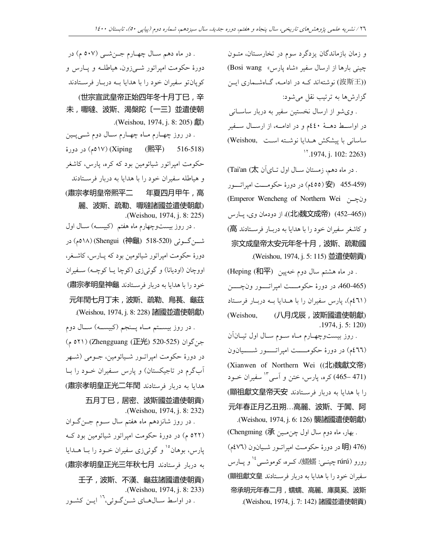و زمان بازماندگان یزدگرد سوم در تخارســتان، متــون چینی بارها از ارسال سفیر «شاه یارس» Bosi wang) (波斯王) نوشتهاند کـه در ادامـه، گـاهشـماري ايـن گزارشها به ترتیب نقل می شود:

. وى شو از ارسال نخستين سفير به دربار ساسـانى در اواسط دهـهٔ ٤٤٠م و در ادامـه، از ارسـال سـفير ساسانی با پیشکش هـدایا نوشـته اسـت ,Weishou)  $1,1974$ , j. 102: 2263)

. در ماه دهم، زمستان ســال اول تــاىآن Tai'an (太) (455-459 حر دورۂ حکومـــت امیراتـــور (266-455 ) ونچــن Emperor Wencheng of Northern Wei ((はい魏文成帝) (452–465))، از دودمان وي، پــارس و كاشغر سفيران خود را با هدايا به دربـار فرســتادند 高) 宗文成皇帝太安元年冬十月,波斯、疏勒國 . (Weishou, 1974, j. 5: 115) 並遣使朝貢)

. در ماه هشتم سال دوم خهيين (Heping (和平) (465-460، در دورهٔ حکومــــت امپراتــــور ونچـــــن (٤٦١م). پارس سفیران را با هــدایا بــه دربــار فرســتاد (Weishou, (八月戊辰,波斯國遣使朝獻) . 1974, j. 5: 120) . روز بیستوچهـارم مــاه ســوم ســال اول تیــان۱ن (٤٦٦م) در دورهٔ حکومـــــت امپراتــــــور شــــــيان1ون (Xianwen of Northern Wei ((北)魏獻文帝) (471–465) کره، پارس، ختن و آسی <sup>۱۳</sup> سفیران خــود را با هدايا به دربار فرستادند (顯祖獻文皇帝天安 元年春正月乙丑朔…高麗、波斯、于闐、阿 .(Weishou, 1974, j. 6: 126) 襲諸國遣使朝獻) . بهار، ماه دوم سال اول چن. علين Chengming (承) (476 BH در دورهٔ حکومت امپراتـور شـيانون (٧٦، 476م) رورو (rúrú چینــی: 縣蠕)، کــره، کوموشــی<sup>، ۱ (</sup> و پــارس سفيران خود را با هدايا به دربار فرســتادند 國祖獻文皇) 帝承明元年春二月,蠕蠕、高麗、庫莫奚、波斯 .(Weishou, 1974, j. 7: 142) 諸國並遣使朝貢)

. در ماه دهم سـال چهـارم جــنشــی (٥٠٧ م) در دورهٔ حکومت امپراتور شــیزون، هیاطلــه و پــارس و کوپانتو سفیران خود را با هدایا بــه دربــار فرســتادند (世宗宣武皇帝正始四年冬十月丁巳,辛 未,嚈噠、波斯、渴槃陀〔一三〕並遣使朝 .(Weishou, 1974, j. 8: 205) 獻) . در روز چهــارم مــاه چهــارم ســال دوم شــيپــين C < ( 517- ) (Xiping (熙平) 516-518) حکومت امیراتور شیائومین بود که کره، پارس، کاشغر و هیاطله سفیران خود را با هدایا به دربار فرســتادند (肅宗孝明皇帝熙平二 年夏四月甲午,高 麗、波斯、疏勒、嚈噠諸國並遣使朝獻) .(Weishou, 1974, j. 8: 225) . در روز بیستوچهارم ماه هفتم (کبیسه) سال اول شـــنگــوئي (518-518 (神龜) 518-520) در دورهٔ حکومت امپراتور شیائومین بود که پــارس، کاشــغر، اووچان (اودیانا) و گوئیزی (کوچا یــا کوچــه) ســفیران خود را با هدايا به دربار فرستادند 肅宗孝明皇神龜) 元年閏七月丁未,波斯、疏勒、烏萇、龜茲 .(Weishou, 1974, j. 8: 228) 諸國並遣使朝獻) . در روز بیســتم مــاه پــنجم (کبیســه) ســال دوم جنگوان (525-520 JPF) (Zhengguang) ( ۵۲۱ م در دورهٔ حکومت امیراتــور شــیائومین، جــومی (شــهر ابگرم در تاجیکستان) و پارس سـفیران خــود را بــا هدايا به دربار فرستادند (肅宗孝明皇正光二年閏) 五月丁巳,居密、波斯國並遣使朝貢) .(Weishou, 1974, j. 8: 232) . در روز شانزدهم ماه هفتم سال ســوم جــنگــوان (۵۲۲ م) در دورهٔ حکومت امپراتور شیائومین بود ک پارس، بوهان°<sup>۱</sup> و گوئ<sub>ی</sub>زی سفیران خــود را بــا هــدایا به دربار فرستادند (肅宗孝明皇正光三年秋七月) 壬子,波斯、不漢、龜茲諸國遣使朝貢) .(Weishou, 1974, j. 8: 233)

. در اواسط ســال@ــاى شــنگــوئى،<sup>۱٬۱</sup> ايــن كشــور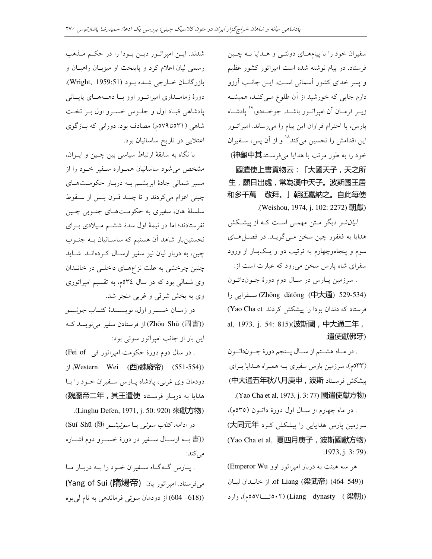سفیران خود را با پیامهــای دولتــی و هــدایا بــه چــین فرستاد. در پیام نوشته شده است امیراتور کشور عظیم و پسر خدای کشور آسمانی است. ایـن جانـب آرزو دارم جایی که خورشید از ان طلوع مـیکنـد، همیشـه زیــر فرمــان آن امپراتــور باشـــد. جوخــهدو،``` پادشــاه پارس، با احترام فراوان این پیام را میرساند. امپراتــور این اقدامش را تحسین میکند<sup>۱۸</sup> و از آن پس، ســفیران خود را به طور مرتب با هدايا مي فرسـتد神龜中其) 國遣使上書貢物云:「大國天子,天之所 生,願日出處,常為漢中天子。波斯國王居

和多千萬 敬拜。」朝廷嘉納之。自此每使 .(Weishou, 1974, j. 102: 2272) 朝獻)

*لیان شو* دیگر مــتن مهمــی اســت کــه از پیشــکش هدايا به فغفور چين سخن مـي گويــد. در فصــل هــاي سوم و پنجاهوچهارم به ترتیب دو و یـکبـار از ورود سفرای شاه پارس سخن می رود که عبارت است از: . سرزمين پــارس در ســال دوم دورهٔ جــونداتــون ( /55 (Zhōng dàtōng (中大通) 529-534) فرستاد که دندان بودا را پیشکش کردند Yao Cha et) al, 1973, j. 54: 815)(波斯國,中大通二年, . 遣使獻佛牙)

. در مــاه هشــتم از ســال پــنجم دورهٔ جــونداتــون (۵۳۳م)، سرزمین پارس سفیری بـه همـراه هـدایا بـرای يشكش فرستاد (中大通五年秋八月庚申, 波斯) . (Yao Cha et al, 1973, j. 3: 77) 國遣使獻方物) . در ماه چهارم از ســال اول دورهٔ داتــون (٥٣٥م). سرزمین یارس هدایایی را پیشکش کرد 大同元年) (Yao Cha et al, 夏四月庚子,波斯國獻方物) .1973, j. 3: 79)

هر سه هیئت به دربار امیراتور اوو Emperor Wu) از خانـدان ليـان (و34–464) of Liang (梁武帝) وارد (بود (بود (Liang dynasty)، وارد (بود (بود )

شدند. ايـن امپراتـور ديـن بـودا را در حكـم مـذهب رسمی لیان اعلام کرد و پایتخت او میزبــان راهبــان و بازرگانــان خــارجي شــده بــود (Wright, 1959:51). دورهٔ زمامـداری امیراتـور اوو بــا دهــههــای پايــانی يادشاهي قباد اول و جلوس خسرو اول بـر تخت شاهی (۵۳۱تا۵۷۹م) مصادف بود. دورانی که بــازگوی اعتلایی در تاریخ ساسانیان بود.

با نگاه به سابقهٔ ارتباط سیاسی بین چــین و ایــران، مشخص میشود ساسانیان همــواره ســفیر خــود را از مسیر شمالی جادهٔ ابریشم بـه دربـار حکومـتهـای چینی اعزام میکردند و تا چنــد قــرن پــس از ســقوط سلسلهٔ هان، سفیری به حکومتحای جنـوبی چـین نفرستادند؛ اما در نیمهٔ اول سدهٔ ششم میلادی بـرای نخستینبار شاهد ان هستیم که ساسـانیان بــه جنــوب چین، به دربار لیان نیز سفیر ارســال کــردهانــد. شــاید چنین چرخشی به علت نزاعهــای داخلــی در خانــدان وی شمالی بود که در سال ۳٤م، به تقسیم امپراتوری وي به بخش شرقي و غربي منجر شد.

در زمــان خســرو اول، نويســندهٔ كتــاب *جوشــو* از فرستادن سفیر مینویسد ک این بار از جانب امپراتور سوئی بود:

. در سال دوم دورهٔ حکومت امپراتور فی Fei of) ) (Western Wei (西)魏廢帝) (551-554) دودمان وی غربی، پادشاه پــارس ســفیران خــود را بــا هدايا به دربار فرستاد 魏廢帝二年, 其王遣使 .( Linghu Defen, 1971, j. 50: 920 ) 來獻方物)

در ادامه، *کتاب سوئی ی*ـا *سوئیشـو S*uí Shū (随) ((書 بــه ارســال ســفير در دورهٔ خســرو دوم اشــاره مے کند:

. پــارس گــهگــاه ســفيران خــود را بــه دربــار مــا میفرستاد. امپراتور یان **(隋煬帝) (Yang of Sui** ((604 –618) از دودمان سوئِی فرماندهی به نام لی یوه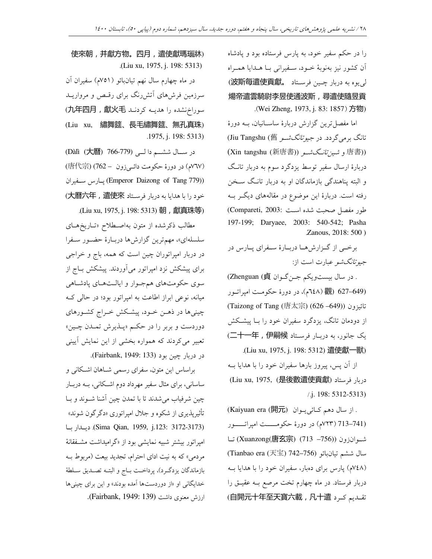را در حکم سفیر خود، به پارس فرستاده بود و پادشاه ان کشور نیز بەنوبۀ خــود، ســفیرانی بــا هــدایا همــراه لى يوه به دربار چىين فرستاد 就数斯每遣使貢獻。 煬帝遣雲騎尉李昱使通波斯,尋遣使隨昱貢 .( Wei Zheng, 1973, j. 83: 1857 ) 方物)

اما مفصل ترین گزارش دربارهٔ ساســانیان، بــه دورهٔ تانگ بر می گر دد. در جیو *تانگشو* Jiu Tangshu (舊)  $(Xin$  tangshu  $(\overline{\text{H}}\text{H}\overline{\text{H}}))$ و شين $\overline{\text{U}}$ نسو (唐書)) دربارهٔ ارسال سفیر توسط یزدگرد سوم به دربار تانـگ و البته پناهندگی بازماندگان او به دربار تانـگ ســخن رفته است. دربارهٔ این موضوع در مقالههای دیگر بـه طور مفصل صحبت شده است :Compareti, 2003 197-199; Daryaee, 2003: 540-542; Pasha . Zanous, 2018: 500 )

برخـی از گـزارشهـا دربـارهٔ سـفرای پـارس در جب*وتانگشو* عبارت است از:

. در سال بیستویکم جــنگــوان Zhenguan (貞) (627-649 (1٤٨هـ)، در دورهٔ حکومت اميراتـور (Taizong of Tang (唐太宗) (626 –649)) <1 Ç از دودمان تانگ، یزدگرد سفیران خود را بــا پیشــکش (二十一年, 伊嗣候 فرستاد 二十一年) .(Liu xu, 1975, j. 198: 5312) 遣使獻一獸)

از آن پس، پیروز بارها سفیران خود را با هدایا بــه (Liu xu, 1975, (是後數遣使貢獻) ' ./ j. 198: 5312-5313)

. از سال دهم کــائ<sub>ی</sub>يــوان (閑元) (Kaiyuan era (711-713 (٧٢٣م) در دورهٔ حکومــــت امپراتـــــور شــوانزون ((Xuanzong(唐玄宗) (713 –756) تــا سال ششم تيانبائو (Tianbao era (天宝) 742–756) (۷٤۸م) پارس برای دهبار، سفیران خود را با هدایا بــه دربار فرستاد. در ماه چهارم تخت مرصع بــه عقيــق را  $\mathcal{L}$ (自開元十年至天寶六載, 凡十遣 تقـديم كـرد

使來朝,并獻方物。四月,遣使獻瑪瑙牀) .(Liu xu, 1975, j. 198: 5313)

در ماه چهارم سال نهم تیانبائو (۷۵۱م) سفیران ان سرزمین فرشهای آتشررنگ برای رقسص و مرواریـد (九年四月, 獻火毛 را هديه كردند ) (Liu xu, 繡舞筵、長毛繡舞筵、無孔真珠) .1975, j. 198: 5313)

(Dàlì (大曆) 766-779) در سـال ششــم دالــی (١٣٧م) در دورهٔ حکومت دائـيزون ــ 762) (唐代宗) /5 .5& (Emperor Daizong of Tang 779)) خود را با هدايا به دربار فرستاد 大曆六年, 遣使來)

. (Liu xu, 1975, j. 198: 5313) 朝,獻真珠等) مطالب ذکرشده از متون بهاصــطلاح «تــاريخهــای سلسلهای»، مهم ترین گزارش ها دربـارهٔ حضـور سـفرا در دربار امپراتوران چین است که همه، باج و خراجی برای پیشکش نزد امیراتور می آوردند. پیشکش بـاج از سوي حكومتهاي همجـوار و ايالـتهـاي يادشـاهي میانه، نوعی ابراز اطاعت به امپراتور بود؛ در حالی ک چینیها در ذهــن خــود، پیشــکش خــراج کشــورهای دوردست و بربر را در حکـم «پـــذيرش تمـــدن چـــين» تعبیر میکردند که همواره بخشی از این نمایش آیینی در دربار چين بود (Fairbank, 1949: 133).

براساس این متون، سفرای رسمی شــاهان اشــکانی و ساسانی، برای مثال سفیر مهرداد دوم اشکانی، بــه دربــار چین شرفیاب می¢سدند تا با تمدن چین اشنا شــوند و بــا تاثیرپذیری از شکوه و جلال امپراتوری «دگرگون شوند» 5' 5 .(Sima Qian, 1959, j.123: 3172-3173) امپراتور بیشتر شبیه نمایشی بود از «گرامیداشت مشـفقانهٔ مردمی» که به نیت ادای احترام، تجدید بیعت (مربوط بــه بازماندگان يزدگـرد)، پرداخــت بــاج و البتــه تصــديق ســلطهٔ خدایگان<sub>ی</sub> او «از دوردستها آمده بودند» و این برای چینیها ارزش معنوى داشت (Fairbank, 1949: 139).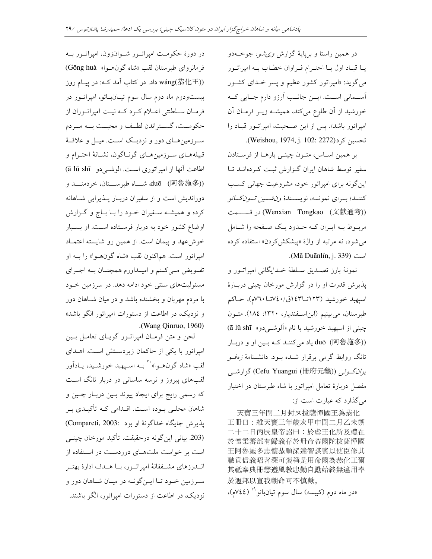در همین راستا و برپایهٔ گزارش *وی شو*، جوخـهدو یـا قبـاد اول بـا احتـرام فـراوان خطـاب بـه اميراتـور می گوید: «امپراتور کشور عظیم و پسر خـدای کشــور آســماني اســت. ايــن جانــب آرزو دارم جــايي كــه خورشيد از آن طلوع مي كند، هميشـه زيـر فرمـان آن امپراتور باشد». پس از این صحبت، امپراتور قباد را تحسين كرد(Weishou, 1974, j. 102: 2272).

بر همین اساس، متون چینبی بارها از فرستادن سفیر توسط شاهان ایران گزارش ثبت کردهانـد تـا اینگونه برای امپراتور خود، مشروعیت جهانی کسب كننــد؛ بــراي نمونـــه، نويســندهٔ *ون.شـــين تــونكــائو* (文献通考) در قســـمت مربوط بـه ايـران كـه حـدود يـك صـفحه را شـامل می شود، نه مرتبه از واژهٔ «پیشکشکردن» استفاده کرده .(Mă Duānlín, j. 339).

نمونهٔ بارز تصــدیق ســلطهٔ خــدایگانی امپراتــور و پذیرش قدرت او را در گزارش مورخان چینی دربـارهٔ اسپهبد خورشید (۱۲۳تا۱٤۳ق/۱٤۰تا۲۰م)، حـاکم طبرستان، می بینیم (ابن استفندیار، ۱۳۲۰: ۱۸٤). متبون چيني از اسپهبد خورشيد با نام «اَلوشـيدو» ā lǔ shī) duō (阿魯施多)) ياد مي كننـد كـه بـين او و دربـار تانگ روابط گرمی برقرار شـده بـود. دانشـنامهٔ *زهفـو* يو*ان گوئي* (Cefu Yuangui (冊府元龜)) گزارشي مفصل دربارهٔ تعامل امپراتور با شاه طبرستان در اختیار می گذارد که عبارت است از:

天寶三年閏二月封ヌ拔薩憚國王為恭化 王冊曰:維天寶三年歲次甲申閏二月乙未朔 二十二日丙辰皇帝詔曰:於虐王化所及禮在 於懷柔蕃部有歸義存於冊命咨爾陀拔薩憚國 王阿魯施多志懷恭順深達智謀賓以使臣修其 職貢信義昭著深可褒稱是用命爾為恭化王爾 其祗奉典冊懋遵風教忠勤自勵始終無違用率 於遐邦以宣我朝命可不慎歟。

«در ماه دوم (کبیسه) سال سوم تیانبائو<sup>۱۹</sup> (۷٤٤م).

در دورهٔ حکومـت امیراتــور شــوانزون، امیراتــور بــه فرمانرواي طبرستان لقب «شاه گونهـوا» Gōng huà) wáng(恭化王)) داد. در کتاب آمد کـه: در پیـام روز بیستودوم ماه دوم سال سوم تیـانبـائو، امیراتـور در فرمـان سـلطنتي اعــلام كــرد كــه نيــت اميراتــوران از حکومــت، گســتراندن لطــف و محبــت بــه مــردم سـرزمینهــای دور و نزدیــک اســت. میــل و علاقــهٔ قبیلههـای سـرزمینهـای گونـاگون، نشـانهٔ احتـرام و اطاعت آنها از اميراتوري است. الوشي دو \_ā lǔ shī) duō (阿魯施多)) شاه طبرســـتان، خردمنـــد و دوراندیش است و از سفیران دربـار پــذیرایی شــاهانه کرده و همیشـه سـفیران خـود را بـا بــاج و گــزارش اوضاع کشور خود به دربار فرسـتاده اسـت. او بسـيار خوشءهد و پیمان است. از همین رو شایسته اعتمـاد امپراتور است. هماکنون لقب «شاه گونهـوا» را بــه او تفـويض مـىكـنم و اميـداورم همچنــان بــه اجــراي مسئولیتهای سنتی خود ادامه دهد. در سرزمین خـود با مردم مهربان و بخشنده باشد و در میان شـاهان دور و نزدیک، در اطاعت از دستورات امیراتور الگو باشد» .(Wang Qinruo, 1960)

لحن و متن فرمـان امپراتــور گویــای تعامــل بــین امپراتور با یکی از حاکمان زیردستش است. اهـدای لقب «شاه گونهــوا» `` بــه اســيهبد خورشــيد، يــادآور لقبهای پیروز و نرسه ساسانی در دربار تانگ است که رسمي رايج براي ايجاد پيوند بـين دربـار چـين و شاهان محلـی بـوده اسـت. اقـدامی کـه تأکیـدی بـر يذير ش جايگاه خداگونهٔ او بود :Compareti, 2003) (203 بياني اين گونه درحقيقت، تأكيد مورخان چينـي است بر خواست ملتهای دوردست در استفاده از انـــدرزهای مشـــفقانهٔ امیراتــور، بـــا هـــدف ادارهٔ بهتــر سرزمین خـود تـا ایــنگونــه در میـان شــاهان دور و نزدیک، در اطاعت از دستورات امیراتور، الگو باشند.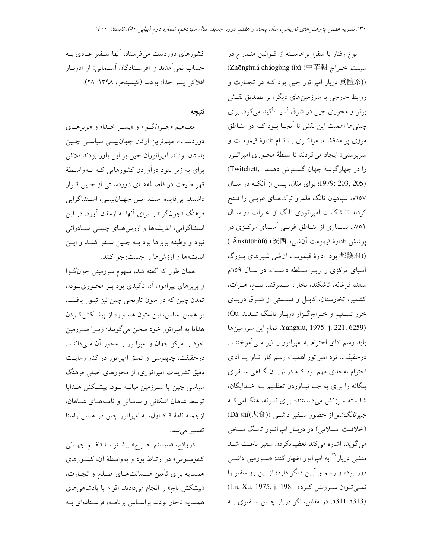نوع رفتار با سفرا برخاسـته از قـوانين منــدرج در (Zhōnghuá cháogòng tǐxì (中華朝 سیستم خراج ((貢體系 دربار امپراتور چین بود کـه در تجـارت و روابط خارجی با سرزمینهای دیگر، بر تصدیق نقش برتر و محوری چین در شرق آسیا تأکید میکرد. برای چینیها اهمیت این نقش تا آنجـا بـود کـه در منـاطق مرزی پر مناقشـه، مراکـزی بــا نــام «ادارهٔ قیمومـت و سرپرستی» ایجاد میکردند تا سلطهٔ محوری امپراتـور را در چهار گوشهٔ جهان گسترش دهنـد .Twitchett (203, 205 :1979؛ برای مثال، پس از آنکه در سال ٦٥٧م، سپاهيان تانگ قلمرو ترکهـاي غربـي را فـتح کردند تا شکست امپراتوری تانگ از اعـراب در سـال ۷۵۱م، بسیاری از مناطق غربے آسیای مرکزی در پوشش «ادارهٔ قیمومت آنشی» Änxīdūhùfǔ (安西) ((都護府 بود. ادارهٔ قیمومت آنشی شهرهای بـزرگ آسیای مرکزی را زیـر سـلطه داشـت. در سـال ٦٥٩م سغد، فرغانه، تاشکند، بخارا، سـمرقند، بلـخ، هــرات، کشمیر، تخارستان، کابـل و قســمتی از شــرق دریـای خزر تسلیم و خراج گزار دربار تانگ شدند Ou) تمام اين سرزمينها.Yangxiu, 1975: j. 221, 6259) باید رسم ادای احترام به امپراتور را نیز مـی آموختنـد. درحقیقت، نزد امپراتور اهمیت رسم کاو تـاو یـا ادای احترام بهحدی مهم بود کـه درباریـان گـاهی سـفرای بیگانه را برای به جـا نیـاوردن تعظـیم بـه خـدایگان، شایسته سرزنش میدانستند؛ برای نمونه، هنگامی ک جی*وتانگشو از حضور س*فیر داش<sub>حی</sub> (Dà shí(大食) (خلافت اسلامی) در دربار امپراتـور تانـگ سـخن می گوید، اشاره میکند تعظیمنکردن سفیر باعث شـد منشی دربار<sup>۲۲</sup> به امیراتور اظهار کند: «سـرزمین داشــی دور بوده و رسم و آیین دیگر دارد؛ از این رو سفیر را نمي توان سرزنش كرد» ,Liu Xu, 1975: j. 198 (5311-5313 در مقابل، اگر دربار چـين سـفيري بـه

کشورهای دوردست می فرستاد، آنها سـفیر عــادی بــه حساب نمي آمدند و «فرسـتادگان آسـماني» از «دربـار افلاكي يسر خدا» بودند (كيسينجر، ١٣٩٨: ٢٨).

نتيجه

مفاهيم «جـونگـوا» و «پسـر خـدا» و «بربرهـاي دوردست»، مهم ترین ارکان جهانبینمی سیاسبی چین باستان بودند. امپراتوران چین بر این باور بودند تلاش برای به زیر نفوذ درآوردن کشورهایی کـه بـهواسـطهٔ قهر طبیعت در فاصلههای دوردستی از چـین قـرار داشتند، بی فایده است. ایـن جهـانبینـی، اسـتثناگرایی فرهنگ «جونگوا» را برای آنها به ارمغان آورد. در این استثناگرایی، اندیشهها و ارزش هـای چینـی صـادراتی نبود و وظیفهٔ بربرها بود بــه چــین ســفر کننــد و ایــن اندیشهها و ارزشها را جستوجو کنند.

همان طور که گفته شد، مفهوم سرزمینی جونگـوا و بربرهای پیرامون آن تأکیدی بود بـر محـوریبـودن تمدن چین که در متون تاریخی چین نیز تبلور یافت. بر همین اساس، این متون همـواره از پیشـکش2ـردن هدایا به امپراتور خود سخن میگویند؛ زیــرا ســرزمین خود را مرکز جهان و امپراتور را محور آن مـی۱داننـد. درحقیقت، چاپلوسی و تملق امپراتور در کنار رعایت دقیق تشریفات امپراتوری، از محورهای اصلی فرهنگ سیاسی چین یا سـرزمین میانــه بــود. پیشــکش هــدایا توسط شاهان اشكاني و ساساني و نامـههـاي شـاهان، ازجمله نامهٔ قباد اول، به امیراتور چین در همین راستا تفسير مي شد.

درواقع، «سيستم خـراج» بيشـتر بــا «نظـم جهـاني کنفوسیوس» در ارتباط بود و بهواسطهٔ آن، کشـورهای همسایه برای تأمین ضـمانتهـای صـلح و تجـارت، «پیشکش باج» را انجام میدادند. اقوام یا پادشاهیهای همسايه ناچار بودند براسـاس برنامـه، فرسـتادهاي بـه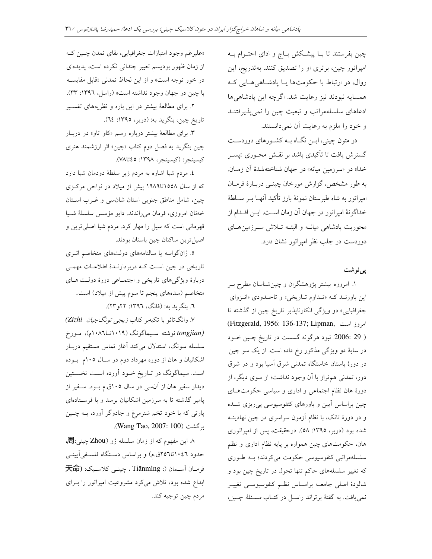چین بفرستند تا بـا پیشـکش بـاج و ادای احتـرام بـه امپراتور چین، برتری او را تصدیق کنند. بهتدریج، این روال، در ارتباط با حکومتها یـا پادشـاهیهـایی کـه همسایه نبودند نیز رعایت شد. اگرچه این پادشاهیها ادعاهای سلسلهمراتب و تبعیت چین را نمی پذیرفتنـد و خود را ملزم به رعایت آن نمیدانستند.

در متون چینی، ایــن نگــاه بــه کشــورهای دوردســت گسترش یافت تا تأکیدی باشد بر نقـش محـوری «پســر خدا» در «سرزمین میانه» در جهان شناختهشدهٔ آن زمـان. به طور مشخص، گزارش مورخان چینـی دربـارهٔ فرمـان امپراتور به شاه طبرستان نمونهٔ بارز تأکید آنهـا بــر ســلطهٔ خداگونهٔ امپراتور در جهان آن زمان است. ایــن اقــدام از محوریت پادشاهی میانـه و البتـه تـلاش سـرزمینهـای دوردست در جلب نظر امیراتور نشان دارد.

پىنوشت

۱. امروزه بیشتر پژوهشگران و چینشناسان مطرح بـر این باورنـد کـه «تـداوم تـاریخی» و تاحـدودی «انـزوای جغرافیایی» دو ویژگی انکارناپذیر تاریخ چین از گذشته تا (Fitzgerald, 1956: 136-137; Lipman, امروز است ( 29 :2006. نبود هرگونه گسست در تاریخ چـین خـود در سایهٔ دو ویژگی مذکور رخ داده است. از یک سو چین در دورهٔ باستان خاستگاه تمدنی شرق آسیا بود و در شرق دور، تمدنی هم تراز با آن وجود نداشت؛ از سوی دیگر، از دورهٔ هان نظام اجتماعی و اداری و سیاسی حکومتهای چین براساس آیین و باورهای کنفوسیوسی پی ریزی شـده و در دورهٔ تانک، با نظام آزمون سراسری در چین نهادینــه شده بود (دریر، ۱۳۹۵: ۵۸). درحقیقت، پس از امپراتوری هان، حکومتهای چین همواره بر پایه نظام اداری و نظم سلسلهمراتبی کنفوسیوسی حکومت میکردند؛ بـه طـوری که تغییر سلسلههای حاکم تنها تحول در تاریخ چین بود و شالودهٔ اصلی جامعــه براسـاس نظــم کنفوسیوســی تغییــر نمی یافت. به گفتهٔ برتراند راسـل در کتـاب *مسـئلهٔ چـین،* 

«علیرغم وجود امتیازات جغرافیایی، بقای تمدن چهین ک از زمان ظهور بوديسم تعيير چنداني نكرده است، پديدهاى در خور توجه است» و از این لحاظ تمدنی «قابل مقایسه با چین در جهان وجود نداشته است» (راسل، ۱۳۹۶: ۳۳). ۲. برای مطالعهٔ بیشتر در این باره و نظریههای تفسیر تاریخ چین، بنگرید به: (دریر، ١٣٩٥: ٢٤).

۳. برای مطالعهٔ بیشتر درباره رسم «کاو تاو» در دربار چین بنگرید به فصل دوم کتاب «چین» اثر ارزشمند هنری كيسينجر: (كيسينجر، ١٣٩٨: ٤٥تا٧٨).

٤. مردم شيا اشاره به مردم زير سلطهٔ دودمان شيا دارد که از سال ۱۵۵۸تا۱۹۸۹ پیش از میلاد در نواحی مرکزی چین، شامل مناطق جنوبی استان شانسی و غـرب اسـتان خەنان امروزى، فرمان مى راندند. دايو مؤسس سلسلة شيا قهرمانی است که سیل را مهار کرد. مردم شیا اصلی ترین و اصيل ترين ساكنان چين باستان بودند.

۵. ژانگواسه یا سالنامههای دولتهای متخاصم اثـری تاریخی در چین است که دربردارندهٔ اطلاعات مهمی دربارهٔ ویژگیهای تاریخی و اجتمـاعی دورهٔ دولـت هـای متخاصم (سدههای پنجم تا سوم پیش از میلاد) است.

٦. بنگرید به: (فانگ، ١٣٩٦: ٢٢و٢٣).

V. وانگ تائو با تکیهبر کتاب *زیجی تونگ جیان Zizhi*) tongjian) نوشته سـيماگونگ (۱۰۱۹تـا۱۰۸٦م)، مـورخ سلسله سونگ، استدلال میکند آغاز تماس مستقیم دربـار اشکانیان و هان از دوره مهرداد دوم در سـال ۱۰۵م بـوده است. سیماگونگ در تـاریخ خـود آورده اسـت نخسـتین دیدار سفیر هان از آنسی در سال ۱۰۵ق.م بــود. ســفیر از پامیر گذشته تا به سرزمین اشکانیان برسد و با فرسـتادهای پارتی که با خود تخم شترمرغ و جادوگر آورد، بــه چــین بر گشت (Wang Tao, 2007: 100).

۸ این مفهوم که از زمان سلسله ژو (Zhou چینی:局) حدود ۰٤٦اتا٤٥٦ق.م) و براساس دستگاه فلسـفي]يينـي فرمـان اَسـمان (: Tiānmìng ، چينـي كلاسـيك: (天命 ابداع شده بود، تلاش میکرد مشروعیت امپراتور را بـرای مردم چين توجيه کند.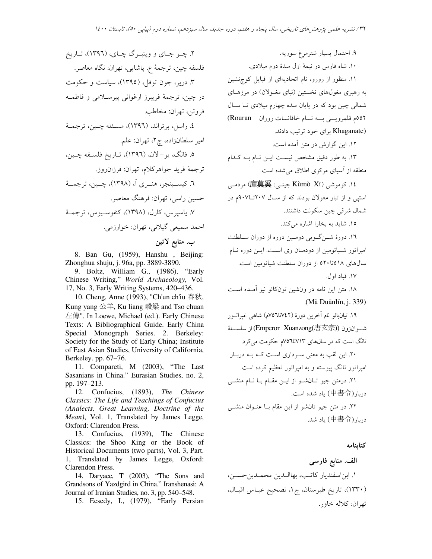۲. چــو جــاي و وينبــرگ چــاي، (١٣٩٦)، تــاريخ فلسفه چين، ترجمهٔ ع. پاشايي، تهران: نگاه معاصر. ۳. دریر، جون توفل، (۱۳۹۵)، سیاست و حکومت در چين، ترجمهٔ فريبرز ارغواني پيرسلامي و فاطمــه فرو تن تھران: مخاطب. ٤. راسل، برتراند، (١٣٩٦)، مسئله چـين، ترجمـهٔ امیر سلطانزاده، چ۲، تهران: علم. ٥. فانگ، يو-لان، (١٣٩٦)، تـاريخ فلسـفه چـين، ترجمة فريد جواهركلام، تهران: فرزان ووز. ٦. کيســينجر، هنــري آ، (١٣٩٨)، چــين، ترجمــهٔ حسین راسی، تهران: فرهنگ معاصر. ٧. پاسير س، کارل، (١٣٩٨)، کنفوسـيوس، ترجمـهٔ احمد سميعي گيلاني، تهران: خوارزمي. ب. منابع لاتين

8. Ban Gu, (1959), Hanshu, Beijing: Zhonghua shuju, j. 96a, pp. 3889-3890.

9. Boltz, William G., (1986), "Early Chinese Writing," World Archaeology, Vol. 17, No. 3, Early Writing Systems, 420–436.

10. Cheng, Anne (1993), "Ch'un ch'iu 春秋, Kung yang 公羊, Ku liang 穀梁 and Tso chuan 左傳". In Loewe, Michael (ed.). Early Chinese Texts: A Bibliographical Guide. Early China Special Monograph Series. 2. Berkeley: Society for the Study of Early China; Institute of East Asian Studies, University of California, Berkeley. pp. 67-76.

11. Compareti, M (2003), "The Last Sasanians in China." Eurasian Studies, no. 2, pp. 197-213.

12. Confucius, (1893), The Chinese Classics: The Life and Teachings of Confucius (Analects, Great Learning, Doctrine of the Mean), Vol. 1, Translated by James Legge, Oxford: Clarendon Press.

13. Confucius, (1939), The Chinese Classics: the Shoo King or the Book of Historical Documents (two parts), Vol. 3, Part. 1, Translated by James Legge, Oxford: Clarendon Press.

14. Daryaee, T (2003), "The Sons and Grandsons of Yazdgird in China." Iranshenasi: A Journal of Iranian Studies, no. 3, pp. 540-548.

15. Ecsedy, I., (1979), "Early Persian

۹. احتمال بسيار شترمرغ سوريه. ۱۰. شاه فارس در نیمهٔ اول سدهٔ دوم میلادی. ۱۱. منظور از رورو، نام اتحادیهای از قبایل کوچنشین به رهبری مغولهای نخستین (نیای مغـولان) در مرزهـای شمالی چین بود که در پایان سده چهارم میلادی تــا ســال 00۲م قلمرویسی بسه نسام خاقانسات روران Rouran) (Khaganate برای خود ترتیب دادند.

۱۲. این گزارش در متن آمده است.

۱۳. به طور دقیق مشخص نیست ایــن نــام بــه کــدام منطقه از آسیای مرکزی اطلاق می شده است.

۱٤. كوموشى (Kùmò Xī) چينسى: 庫莫奚) مردمسى استپی و از تبار مغولان بودند که از سال ۲۰۷تا۹۰۷م در شمال شرقي چين سكونت داشتند.

١٥. شايد به بخارا اشاره مي كند.

١٦. دورهٔ شــن گــویی دومــين دوره از دوران ســلطنت امیراتور شـیائومین از دودمـان وی اسـت. ایــن دوره نــام سالهای ٥١٨تا٥٢٠ از دوران سلطنت شيائومين است. ١٧. قياد اول.

۱۸. متن این نامه در ونشین تونکائو نیز آمـده اسـت .(Mă Duānlín, j. 339)

١٩. تيانبائو نام آخرين دورة (٧٤٢تا٥٦م) شاهي اميراتسور شــوانزون (Emperor Xuanzong(唐玄宗)) از سلســلهٔ تانگ است که در سالهای ۷۱۳تا۱۵/۲م حکومت می کرد. ۲۰. این لقب به معنی سـرداری اسـت کـه بـه دربـار امپراتور تانگ پیوسته و به امپراتور تعظیم کرده است. ٢١. درمتن جيو تـانشـو از ايـن مقـام بـا نـام منشـى دربار (中書令) باد شده است.

۲۲. در متن جیو تانشو از این مقام بـا عنـوان منشــی دريار (中書令) ياد شد.

كتابنامه

الف. منابع فارسي ١. ابن اسفنديار كاتب، بهااللدين محملدبن حسـن، (١٣٣٠)، تاريخ طبرستان، ج ١، تصحيح عبـاس اقبـال، تھران: کلاله خاور.